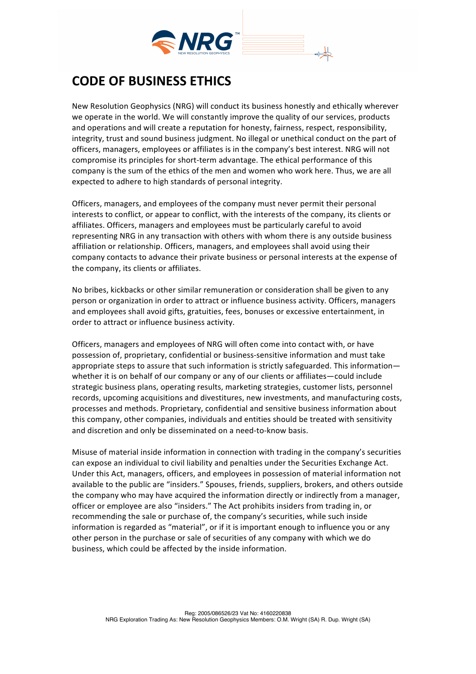

## **CODE OF BUSINESS ETHICS**

New Resolution Geophysics (NRG) will conduct its business honestly and ethically wherever we operate in the world. We will constantly improve the quality of our services, products and operations and will create a reputation for honesty, fairness, respect, responsibility, integrity, trust and sound business judgment. No illegal or unethical conduct on the part of officers, managers, employees or affiliates is in the company's best interest. NRG will not compromise its principles for short-term advantage. The ethical performance of this company is the sum of the ethics of the men and women who work here. Thus, we are all expected to adhere to high standards of personal integrity.

Officers, managers, and employees of the company must never permit their personal interests to conflict, or appear to conflict, with the interests of the company, its clients or affiliates. Officers, managers and employees must be particularly careful to avoid representing NRG in any transaction with others with whom there is any outside business affiliation or relationship. Officers, managers, and employees shall avoid using their company contacts to advance their private business or personal interests at the expense of the company, its clients or affiliates.

No bribes, kickbacks or other similar remuneration or consideration shall be given to any person or organization in order to attract or influence business activity. Officers, managers and employees shall avoid gifts, gratuities, fees, bonuses or excessive entertainment, in order to attract or influence business activity.

Officers, managers and employees of NRG will often come into contact with, or have possession of, proprietary, confidential or business-sensitive information and must take appropriate steps to assure that such information is strictly safeguarded. This information whether it is on behalf of our company or any of our clients or affiliates—could include strategic business plans, operating results, marketing strategies, customer lists, personnel records, upcoming acquisitions and divestitures, new investments, and manufacturing costs, processes and methods. Proprietary, confidential and sensitive business information about this company, other companies, individuals and entities should be treated with sensitivity and discretion and only be disseminated on a need-to-know basis.

Misuse of material inside information in connection with trading in the company's securities can expose an individual to civil liability and penalties under the Securities Exchange Act. Under this Act, managers, officers, and employees in possession of material information not available to the public are "insiders." Spouses, friends, suppliers, brokers, and others outside the company who may have acquired the information directly or indirectly from a manager, officer or employee are also "insiders." The Act prohibits insiders from trading in, or recommending the sale or purchase of, the company's securities, while such inside information is regarded as "material", or if it is important enough to influence you or any other person in the purchase or sale of securities of any company with which we do business, which could be affected by the inside information.